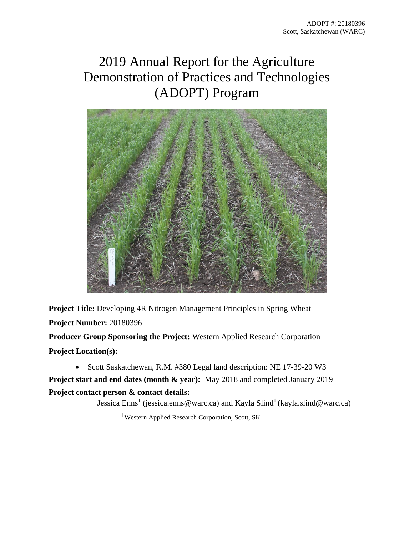# 2019 Annual Report for the Agriculture Demonstration of Practices and Technologies (ADOPT) Program



**Project Title:** Developing 4R Nitrogen Management Principles in Spring Wheat **Project Number:** 20180396 **Producer Group Sponsoring the Project:** Western Applied Research Corporation

**Project Location(s):**

• Scott Saskatchewan, R.M. #380 Legal land description: NE 17-39-20 W3

**Project start and end dates (month & year):** May 2018 and completed January 2019 **Project contact person & contact details:** 

Jessica Enns<sup>1</sup> (jessica.enns@warc.ca) and Kayla Slind<sup>1</sup> (kayla.slind@warc.ca)

**<sup>1</sup>**Western Applied Research Corporation, Scott, SK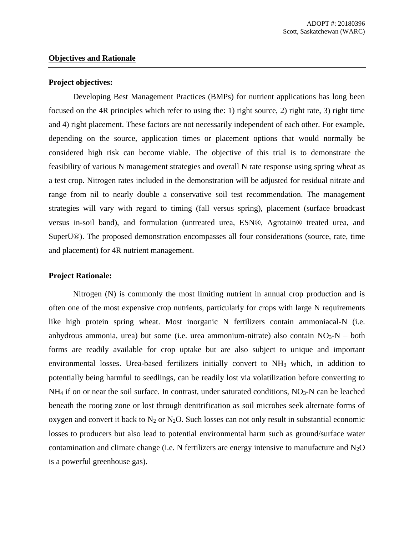# **Objectives and Rationale**

#### **Project objectives:**

Developing Best Management Practices (BMPs) for nutrient applications has long been focused on the 4R principles which refer to using the: 1) right source, 2) right rate, 3) right time and 4) right placement. These factors are not necessarily independent of each other. For example, depending on the source, application times or placement options that would normally be considered high risk can become viable. The objective of this trial is to demonstrate the feasibility of various N management strategies and overall N rate response using spring wheat as a test crop. Nitrogen rates included in the demonstration will be adjusted for residual nitrate and range from nil to nearly double a conservative soil test recommendation. The management strategies will vary with regard to timing (fall versus spring), placement (surface broadcast versus in-soil band), and formulation (untreated urea, ESN®, Agrotain® treated urea, and SuperU®). The proposed demonstration encompasses all four considerations (source, rate, time and placement) for 4R nutrient management.

### **Project Rationale:**

Nitrogen (N) is commonly the most limiting nutrient in annual crop production and is often one of the most expensive crop nutrients, particularly for crops with large N requirements like high protein spring wheat. Most inorganic N fertilizers contain ammoniacal-N (i.e. anhydrous ammonia, urea) but some (i.e. urea ammonium-nitrate) also contain  $NO<sub>3</sub>-N - both$ forms are readily available for crop uptake but are also subject to unique and important environmental losses. Urea-based fertilizers initially convert to NH<sup>3</sup> which, in addition to potentially being harmful to seedlings, can be readily lost via volatilization before converting to  $NH<sub>4</sub>$  if on or near the soil surface. In contrast, under saturated conditions,  $NO<sub>3</sub>-N$  can be leached beneath the rooting zone or lost through denitrification as soil microbes seek alternate forms of oxygen and convert it back to  $N_2$  or  $N_2O$ . Such losses can not only result in substantial economic losses to producers but also lead to potential environmental harm such as ground/surface water contamination and climate change (i.e. N fertilizers are energy intensive to manufacture and  $N_2O$ is a powerful greenhouse gas).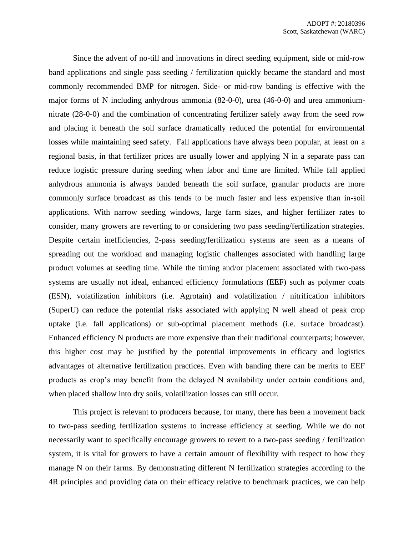Since the advent of no-till and innovations in direct seeding equipment, side or mid-row band applications and single pass seeding / fertilization quickly became the standard and most commonly recommended BMP for nitrogen. Side- or mid-row banding is effective with the major forms of N including anhydrous ammonia (82-0-0), urea (46-0-0) and urea ammoniumnitrate (28-0-0) and the combination of concentrating fertilizer safely away from the seed row and placing it beneath the soil surface dramatically reduced the potential for environmental losses while maintaining seed safety. Fall applications have always been popular, at least on a regional basis, in that fertilizer prices are usually lower and applying N in a separate pass can reduce logistic pressure during seeding when labor and time are limited. While fall applied anhydrous ammonia is always banded beneath the soil surface, granular products are more commonly surface broadcast as this tends to be much faster and less expensive than in-soil applications. With narrow seeding windows, large farm sizes, and higher fertilizer rates to consider, many growers are reverting to or considering two pass seeding/fertilization strategies. Despite certain inefficiencies, 2-pass seeding/fertilization systems are seen as a means of spreading out the workload and managing logistic challenges associated with handling large product volumes at seeding time. While the timing and/or placement associated with two-pass systems are usually not ideal, enhanced efficiency formulations (EEF) such as polymer coats (ESN), volatilization inhibitors (i.e. Agrotain) and volatilization / nitrification inhibitors (SuperU) can reduce the potential risks associated with applying N well ahead of peak crop uptake (i.e. fall applications) or sub-optimal placement methods (i.e. surface broadcast). Enhanced efficiency N products are more expensive than their traditional counterparts; however, this higher cost may be justified by the potential improvements in efficacy and logistics advantages of alternative fertilization practices. Even with banding there can be merits to EEF products as crop's may benefit from the delayed N availability under certain conditions and, when placed shallow into dry soils, volatilization losses can still occur.

This project is relevant to producers because, for many, there has been a movement back to two-pass seeding fertilization systems to increase efficiency at seeding. While we do not necessarily want to specifically encourage growers to revert to a two-pass seeding / fertilization system, it is vital for growers to have a certain amount of flexibility with respect to how they manage N on their farms. By demonstrating different N fertilization strategies according to the 4R principles and providing data on their efficacy relative to benchmark practices, we can help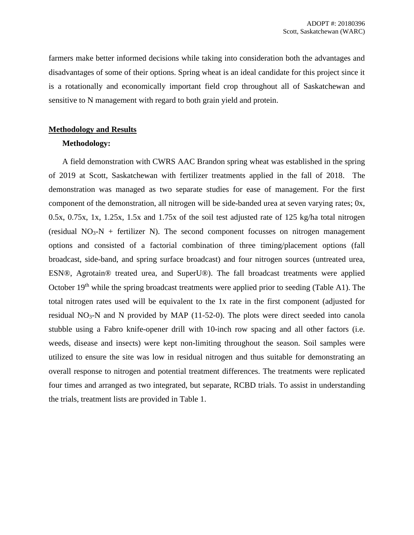farmers make better informed decisions while taking into consideration both the advantages and disadvantages of some of their options. Spring wheat is an ideal candidate for this project since it is a rotationally and economically important field crop throughout all of Saskatchewan and sensitive to N management with regard to both grain yield and protein.

# **Methodology and Results**

# **Methodology:**

A field demonstration with CWRS AAC Brandon spring wheat was established in the spring of 2019 at Scott, Saskatchewan with fertilizer treatments applied in the fall of 2018. The demonstration was managed as two separate studies for ease of management. For the first component of the demonstration, all nitrogen will be side-banded urea at seven varying rates; 0x, 0.5x, 0.75x, 1x, 1.25x, 1.5x and 1.75x of the soil test adjusted rate of 125 kg/ha total nitrogen (residual  $NO<sub>3</sub>-N$  + fertilizer N). The second component focusses on nitrogen management options and consisted of a factorial combination of three timing/placement options (fall broadcast, side-band, and spring surface broadcast) and four nitrogen sources (untreated urea, ESN®, Agrotain® treated urea, and SuperU®). The fall broadcast treatments were applied October 19<sup>th</sup> while the spring broadcast treatments were applied prior to seeding (Table A1). The total nitrogen rates used will be equivalent to the 1x rate in the first component (adjusted for residual  $NO<sub>3</sub>-N$  and N provided by MAP (11-52-0). The plots were direct seeded into canola stubble using a Fabro knife-opener drill with 10-inch row spacing and all other factors (i.e. weeds, disease and insects) were kept non-limiting throughout the season. Soil samples were utilized to ensure the site was low in residual nitrogen and thus suitable for demonstrating an overall response to nitrogen and potential treatment differences. The treatments were replicated four times and arranged as two integrated, but separate, RCBD trials. To assist in understanding the trials, treatment lists are provided in Table 1.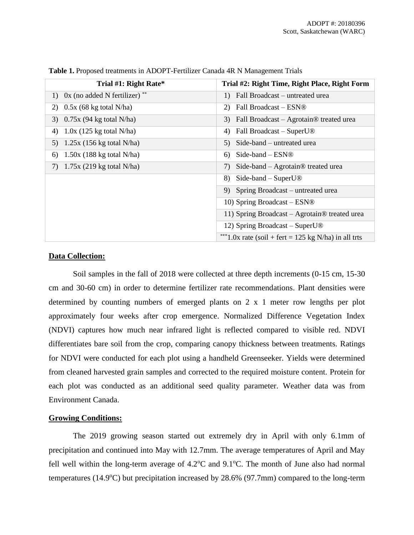| Trial #1: Right Rate*              | Trial #2: Right Time, Right Place, Right Form             |
|------------------------------------|-----------------------------------------------------------|
| 1) $0x$ (no added N fertilizer) ** | 1) Fall Broadcast – untreated urea                        |
| $0.5x$ (68 kg total N/ha)<br>2)    | 2) Fall Broadcast $-$ ESN®                                |
| $0.75x$ (94 kg total N/ha)<br>3)   | 3) Fall Broadcast - Agrotain® treated urea                |
| $1.0x$ (125 kg total N/ha)<br>4)   | Fall Broadcast – SuperU <sup>®</sup><br>4)                |
| $1.25x$ (156 kg total N/ha)<br>5)  | 5) Side-band – untreated urea                             |
| $1.50x$ (188 kg total N/ha)<br>6)  | $Side$ -band – $ESN@$<br>6)                               |
| $1.75x$ (219 kg total N/ha)<br>7)  | Side-band $-$ Agrotain <sup>®</sup> treated urea<br>7)    |
|                                    | 8) Side-band – SuperU $\circledR$                         |
|                                    | 9) Spring Broadcast – untreated urea                      |
|                                    | 10) Spring Broadcast $-$ ESN®                             |
|                                    | 11) Spring Broadcast – Agrotain <sup>®</sup> treated urea |
|                                    | 12) Spring Broadcast – SuperU®                            |
|                                    | ***1.0x rate (soil + fert = 125 kg N/ha) in all trts      |

**Table 1.** Proposed treatments in ADOPT-Fertilizer Canada 4R N Management Trials

# **Data Collection:**

Soil samples in the fall of 2018 were collected at three depth increments (0-15 cm, 15-30 cm and 30-60 cm) in order to determine fertilizer rate recommendations. Plant densities were determined by counting numbers of emerged plants on 2 x 1 meter row lengths per plot approximately four weeks after crop emergence. Normalized Difference Vegetation Index (NDVI) captures how much near infrared light is reflected compared to visible red. NDVI differentiates bare soil from the crop, comparing canopy thickness between treatments. Ratings for NDVI were conducted for each plot using a handheld Greenseeker. Yields were determined from cleaned harvested grain samples and corrected to the required moisture content. Protein for each plot was conducted as an additional seed quality parameter. Weather data was from Environment Canada.

### **Growing Conditions:**

The 2019 growing season started out extremely dry in April with only 6.1mm of precipitation and continued into May with 12.7mm. The average temperatures of April and May fell well within the long-term average of  $4.2^{\circ}$ C and  $9.1^{\circ}$ C. The month of June also had normal temperatures (14.9 $\degree$ C) but precipitation increased by 28.6% (97.7mm) compared to the long-term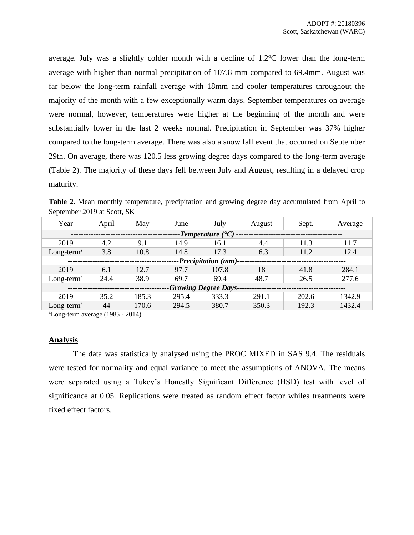average. July was a slightly colder month with a decline of  $1.2^{\circ}$ C lower than the long-term average with higher than normal precipitation of 107.8 mm compared to 69.4mm. August was far below the long-term rainfall average with 18mm and cooler temperatures throughout the majority of the month with a few exceptionally warm days. September temperatures on average were normal, however, temperatures were higher at the beginning of the month and were substantially lower in the last 2 weeks normal. Precipitation in September was 37% higher compared to the long-term average. There was also a snow fall event that occurred on September 29th. On average, there was 120.5 less growing degree days compared to the long-term average (Table 2). The majority of these days fell between July and August, resulting in a delayed crop maturity.

**Table 2.** Mean monthly temperature, precipitation and growing degree day accumulated from April to September 2019 at Scott, SK

| Year                               | April | May   | June  | July  | August | Sept. | Average |
|------------------------------------|-------|-------|-------|-------|--------|-------|---------|
| -Temperature $($ <sup>o</sup> C) - |       |       |       |       |        |       |         |
| 2019                               | 4.2   | 9.1   | 14.9  | 16.1  | 14.4   | 11.3  | 11.7    |
| $Long-termz$                       | 3.8   | 10.8  | 14.8  | 17.3  | 16.3   | 11.2  | 12.4    |
| -Precipitation (mm)-               |       |       |       |       |        |       |         |
| 2019                               | 6.1   | 12.7  | 97.7  | 107.8 | 18     | 41.8  | 284.1   |
| $Long-termz$                       | 24.4  | 38.9  | 69.7  | 69.4  | 48.7   | 26.5  | 277.6   |
| <b>-Growing Degree Days-</b>       |       |       |       |       |        |       |         |
| 2019                               | 35.2  | 185.3 | 295.4 | 333.3 | 291.1  | 202.6 | 1342.9  |
| $Long-termz$                       | 44    | 170.6 | 294.5 | 380.7 | 350.3  | 192.3 | 1432.4  |

 $\text{z}$ Long-term average (1985 - 2014)

### **Analysis**

The data was statistically analysed using the PROC MIXED in SAS 9.4. The residuals were tested for normality and equal variance to meet the assumptions of ANOVA. The means were separated using a Tukey's Honestly Significant Difference (HSD) test with level of significance at 0.05. Replications were treated as random effect factor whiles treatments were fixed effect factors.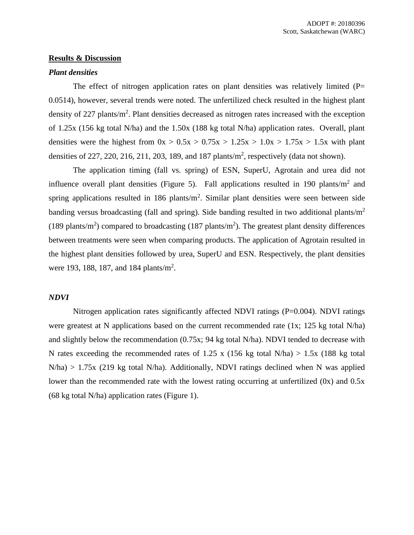### **Results & Discussion**

#### *Plant densities*

The effect of nitrogen application rates on plant densities was relatively limited  $(P=$ 0.0514), however, several trends were noted. The unfertilized check resulted in the highest plant density of 227 plants/m<sup>2</sup>. Plant densities decreased as nitrogen rates increased with the exception of 1.25x (156 kg total N/ha) and the 1.50x (188 kg total N/ha) application rates. Overall, plant densities were the highest from  $0x > 0.5x > 0.75x > 1.25x > 1.0x > 1.75x > 1.5x$  with plant densities of 227, 220, 216, 211, 203, 189, and 187 plants/ $m^2$ , respectively (data not shown).

The application timing (fall vs. spring) of ESN, SuperU, Agrotain and urea did not influence overall plant densities (Figure 5). Fall applications resulted in 190 plants/ $m<sup>2</sup>$  and spring applications resulted in 186 plants/ $m^2$ . Similar plant densities were seen between side banding versus broadcasting (fall and spring). Side banding resulted in two additional plants/ $m<sup>2</sup>$ (189 plants/m<sup>2</sup>) compared to broadcasting (187 plants/m<sup>2</sup>). The greatest plant density differences between treatments were seen when comparing products. The application of Agrotain resulted in the highest plant densities followed by urea, SuperU and ESN. Respectively, the plant densities were 193, 188, 187, and 184 plants/m<sup>2</sup>.

# *NDVI*

Nitrogen application rates significantly affected NDVI ratings (P=0.004). NDVI ratings were greatest at N applications based on the current recommended rate (1x; 125 kg total N/ha) and slightly below the recommendation (0.75x; 94 kg total N/ha). NDVI tended to decrease with N rates exceeding the recommended rates of 1.25 x (156 kg total N/ha)  $> 1.5x$  (188 kg total  $N/ha$ ) > 1.75x (219 kg total N/ha). Additionally, NDVI ratings declined when N was applied lower than the recommended rate with the lowest rating occurring at unfertilized (0x) and 0.5x (68 kg total N/ha) application rates (Figure 1).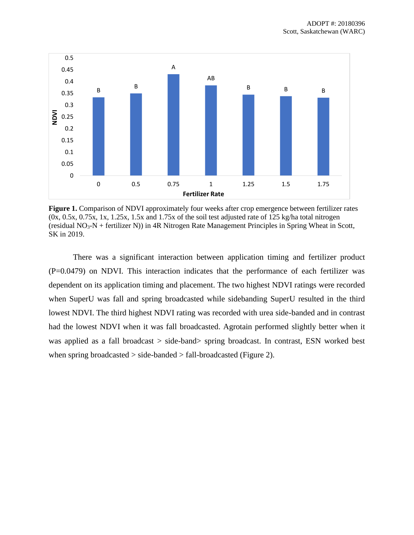

**Figure 1.** Comparison of NDVI approximately four weeks after crop emergence between fertilizer rates  $(0x, 0.5x, 0.75x, 1x, 1.25x, 1.5x, 1.5x, 1.75x)$  of the soil test adjusted rate of 125 kg/ha total nitrogen (residual  $NO<sub>3</sub>-N$  + fertilizer N)) in 4R Nitrogen Rate Management Principles in Spring Wheat in Scott, SK in 2019.

There was a significant interaction between application timing and fertilizer product (P=0.0479) on NDVI. This interaction indicates that the performance of each fertilizer was dependent on its application timing and placement. The two highest NDVI ratings were recorded when SuperU was fall and spring broadcasted while sidebanding SuperU resulted in the third lowest NDVI. The third highest NDVI rating was recorded with urea side-banded and in contrast had the lowest NDVI when it was fall broadcasted. Agrotain performed slightly better when it was applied as a fall broadcast > side-band> spring broadcast. In contrast, ESN worked best when spring broadcasted  $>$  side-banded  $>$  fall-broadcasted (Figure 2).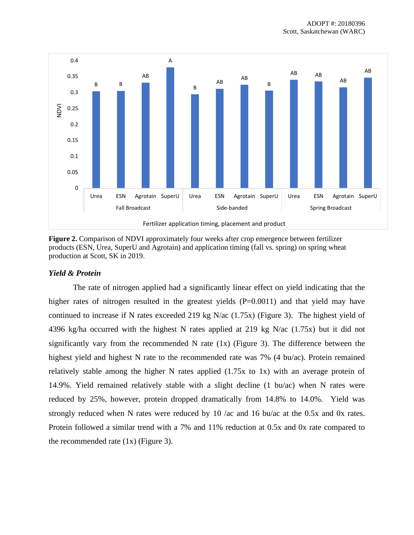

**Figure 2.** Comparison of NDVI approximately four weeks after crop emergence between fertilizer products (ESN, Urea, SuperU and Agrotain) and application timing (fall vs. spring) on spring wheat production at Scott, SK in 2019.

# *Yield & Protein*

The rate of nitrogen applied had a significantly linear effect on yield indicating that the higher rates of nitrogen resulted in the greatest yields (P=0.0011) and that yield may have continued to increase if N rates exceeded 219 kg N/ac (1.75x) (Figure 3). The highest yield of 4396 kg/ha occurred with the highest N rates applied at 219 kg N/ac (1.75x) but it did not significantly vary from the recommended N rate  $(1x)$  (Figure 3). The difference between the highest yield and highest N rate to the recommended rate was 7% (4 bu/ac). Protein remained relatively stable among the higher N rates applied (1.75x to 1x) with an average protein of 14.9%. Yield remained relatively stable with a slight decline (1 bu/ac) when N rates were reduced by 25%, however, protein dropped dramatically from 14.8% to 14.0%. Yield was strongly reduced when N rates were reduced by 10 /ac and 16 bu/ac at the 0.5x and 0x rates. Protein followed a similar trend with a 7% and 11% reduction at 0.5x and 0x rate compared to the recommended rate  $(1x)$  (Figure 3).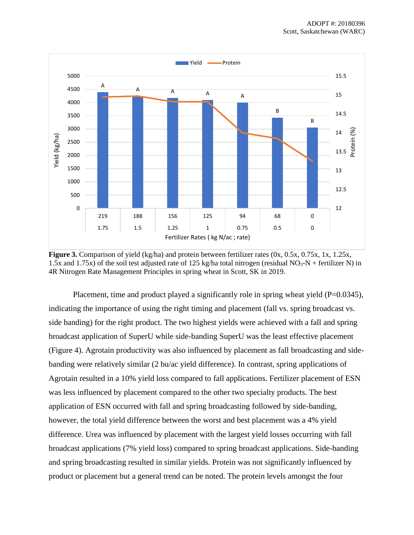

**Figure 3.** Comparison of yield (kg/ha) and protein between fertilizer rates (0x, 0.5x, 0.75x, 1x, 1.25x, 1.5x and 1.75x) of the soil test adjusted rate of 125 kg/ha total nitrogen (residual NO<sub>3</sub>-N + fertilizer N) in 4R Nitrogen Rate Management Principles in spring wheat in Scott, SK in 2019.

Placement, time and product played a significantly role in spring wheat yield  $(P=0.0345)$ , indicating the importance of using the right timing and placement (fall vs. spring broadcast vs. side banding) for the right product. The two highest yields were achieved with a fall and spring broadcast application of SuperU while side-banding SuperU was the least effective placement (Figure 4). Agrotain productivity was also influenced by placement as fall broadcasting and sidebanding were relatively similar (2 bu/ac yield difference). In contrast, spring applications of Agrotain resulted in a 10% yield loss compared to fall applications. Fertilizer placement of ESN was less influenced by placement compared to the other two specialty products. The best application of ESN occurred with fall and spring broadcasting followed by side-banding, however, the total yield difference between the worst and best placement was a 4% yield difference. Urea was influenced by placement with the largest yield losses occurring with fall broadcast applications (7% yield loss) compared to spring broadcast applications. Side-banding and spring broadcasting resulted in similar yields. Protein was not significantly influenced by product or placement but a general trend can be noted. The protein levels amongst the four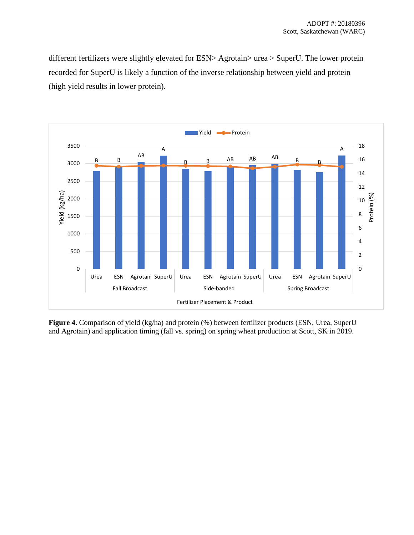different fertilizers were slightly elevated for ESN> Agrotain> urea > SuperU. The lower protein recorded for SuperU is likely a function of the inverse relationship between yield and protein (high yield results in lower protein).



**Figure 4.** Comparison of yield (kg/ha) and protein (%) between fertilizer products (ESN, Urea, SuperU and Agrotain) and application timing (fall vs. spring) on spring wheat production at Scott, SK in 2019.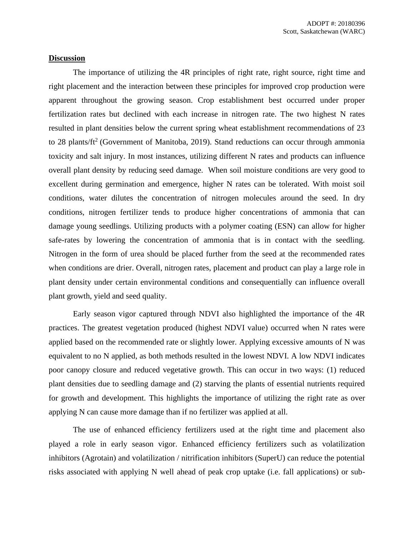# **Discussion**

The importance of utilizing the 4R principles of right rate, right source, right time and right placement and the interaction between these principles for improved crop production were apparent throughout the growing season. Crop establishment best occurred under proper fertilization rates but declined with each increase in nitrogen rate. The two highest N rates resulted in plant densities below the current spring wheat establishment recommendations of 23 to 28 plants/ $ft^2$  (Government of Manitoba, 2019). Stand reductions can occur through ammonia toxicity and salt injury. In most instances, utilizing different N rates and products can influence overall plant density by reducing seed damage. When soil moisture conditions are very good to excellent during germination and emergence, higher N rates can be tolerated. With moist soil conditions, water dilutes the concentration of nitrogen molecules around the seed. In dry conditions, nitrogen fertilizer tends to produce higher concentrations of ammonia that can damage young seedlings. Utilizing products with a polymer coating (ESN) can allow for higher safe-rates by lowering the concentration of ammonia that is in contact with the seedling. Nitrogen in the form of urea should be placed further from the seed at the recommended rates when conditions are drier. Overall, nitrogen rates, placement and product can play a large role in plant density under certain environmental conditions and consequentially can influence overall plant growth, yield and seed quality.

Early season vigor captured through NDVI also highlighted the importance of the 4R practices. The greatest vegetation produced (highest NDVI value) occurred when N rates were applied based on the recommended rate or slightly lower. Applying excessive amounts of N was equivalent to no N applied, as both methods resulted in the lowest NDVI. A low NDVI indicates poor canopy closure and reduced vegetative growth. This can occur in two ways: (1) reduced plant densities due to seedling damage and (2) starving the plants of essential nutrients required for growth and development. This highlights the importance of utilizing the right rate as over applying N can cause more damage than if no fertilizer was applied at all.

The use of enhanced efficiency fertilizers used at the right time and placement also played a role in early season vigor. Enhanced efficiency fertilizers such as volatilization inhibitors (Agrotain) and volatilization / nitrification inhibitors (SuperU) can reduce the potential risks associated with applying N well ahead of peak crop uptake (i.e. fall applications) or sub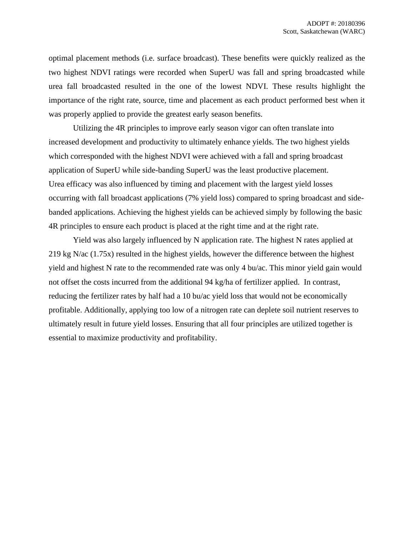optimal placement methods (i.e. surface broadcast). These benefits were quickly realized as the two highest NDVI ratings were recorded when SuperU was fall and spring broadcasted while urea fall broadcasted resulted in the one of the lowest NDVI. These results highlight the importance of the right rate, source, time and placement as each product performed best when it was properly applied to provide the greatest early season benefits.

Utilizing the 4R principles to improve early season vigor can often translate into increased development and productivity to ultimately enhance yields. The two highest yields which corresponded with the highest NDVI were achieved with a fall and spring broadcast application of SuperU while side-banding SuperU was the least productive placement. Urea efficacy was also influenced by timing and placement with the largest yield losses occurring with fall broadcast applications (7% yield loss) compared to spring broadcast and sidebanded applications. Achieving the highest yields can be achieved simply by following the basic 4R principles to ensure each product is placed at the right time and at the right rate.

Yield was also largely influenced by N application rate. The highest N rates applied at 219 kg N/ac (1.75x) resulted in the highest yields, however the difference between the highest yield and highest N rate to the recommended rate was only 4 bu/ac. This minor yield gain would not offset the costs incurred from the additional 94 kg/ha of fertilizer applied. In contrast, reducing the fertilizer rates by half had a 10 bu/ac yield loss that would not be economically profitable. Additionally, applying too low of a nitrogen rate can deplete soil nutrient reserves to ultimately result in future yield losses. Ensuring that all four principles are utilized together is essential to maximize productivity and profitability.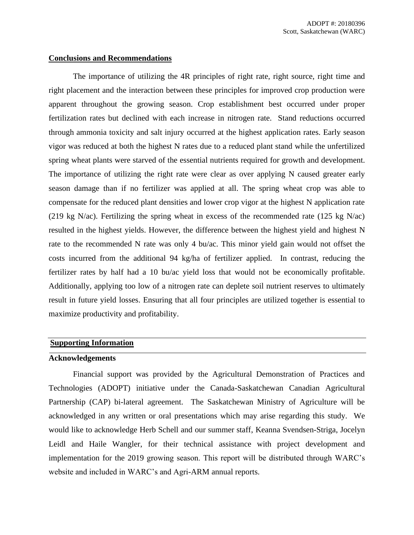# **Conclusions and Recommendations**

The importance of utilizing the 4R principles of right rate, right source, right time and right placement and the interaction between these principles for improved crop production were apparent throughout the growing season. Crop establishment best occurred under proper fertilization rates but declined with each increase in nitrogen rate. Stand reductions occurred through ammonia toxicity and salt injury occurred at the highest application rates. Early season vigor was reduced at both the highest N rates due to a reduced plant stand while the unfertilized spring wheat plants were starved of the essential nutrients required for growth and development. The importance of utilizing the right rate were clear as over applying N caused greater early season damage than if no fertilizer was applied at all. The spring wheat crop was able to compensate for the reduced plant densities and lower crop vigor at the highest N application rate (219 kg N/ac). Fertilizing the spring wheat in excess of the recommended rate (125 kg N/ac) resulted in the highest yields. However, the difference between the highest yield and highest N rate to the recommended N rate was only 4 bu/ac. This minor yield gain would not offset the costs incurred from the additional 94 kg/ha of fertilizer applied. In contrast, reducing the fertilizer rates by half had a 10 bu/ac yield loss that would not be economically profitable. Additionally, applying too low of a nitrogen rate can deplete soil nutrient reserves to ultimately result in future yield losses. Ensuring that all four principles are utilized together is essential to maximize productivity and profitability.

### **Supporting Information**

### **Acknowledgements**

Financial support was provided by the Agricultural Demonstration of Practices and Technologies (ADOPT) initiative under the Canada-Saskatchewan Canadian Agricultural Partnership (CAP) bi-lateral agreement. The Saskatchewan Ministry of Agriculture will be acknowledged in any written or oral presentations which may arise regarding this study. We would like to acknowledge Herb Schell and our summer staff, Keanna Svendsen-Striga, Jocelyn Leidl and Haile Wangler, for their technical assistance with project development and implementation for the 2019 growing season. This report will be distributed through WARC's website and included in WARC's and Agri-ARM annual reports.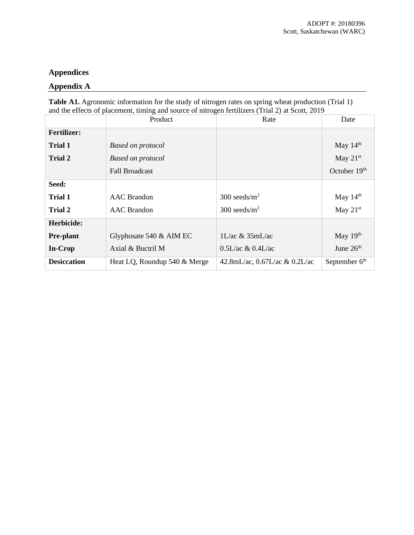# **Appendices**

# **Appendix A**

**Table A1.** Agronomic information for the study of nitrogen rates on spring wheat production (Trial 1) and the effects of placement, timing and source of nitrogen fertilizers (Trial 2) at Scott, 2019

|                    | Product                      | Rate                                | Date                      |
|--------------------|------------------------------|-------------------------------------|---------------------------|
| <b>Fertilizer:</b> |                              |                                     |                           |
| Trial 1            | <b>Based on protocol</b>     |                                     | May $14th$                |
| Trial 2            | <b>Based on protocol</b>     |                                     | May $21st$                |
|                    | <b>Fall Broadcast</b>        |                                     | October 19th              |
| Seed:              |                              |                                     |                           |
| <b>Trial 1</b>     | <b>AAC</b> Brandon           | $300 \text{ seeds/m}^2$             | May $14th$                |
| <b>Trial 2</b>     | <b>AAC</b> Brandon           | $300$ seeds/m <sup>2</sup>          | May $21st$                |
| Herbicide:         |                              |                                     |                           |
| <b>Pre-plant</b>   | Glyphosate $540 \&$ AIM EC   | $1L/ac \& 35mL/ac$                  | May $19th$                |
| In-Crop            | Axial & Buctril M            | $0.5L/ac \& 0.4L/ac$                | June 26 <sup>th</sup>     |
| <b>Desiccation</b> | Heat LQ, Roundup 540 & Merge | 42.8mL/ac, $0.67$ L/ac & $0.2$ L/ac | September 6 <sup>th</sup> |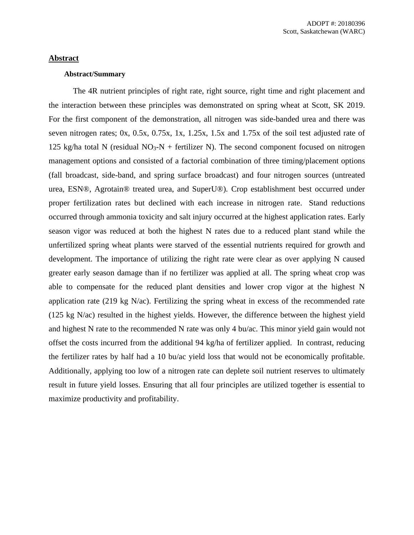# **Abstract**

# **Abstract/Summary**

The 4R nutrient principles of right rate, right source, right time and right placement and the interaction between these principles was demonstrated on spring wheat at Scott, SK 2019. For the first component of the demonstration, all nitrogen was side-banded urea and there was seven nitrogen rates; 0x, 0.5x, 0.75x, 1x, 1.25x, 1.5x and 1.75x of the soil test adjusted rate of 125 kg/ha total N (residual  $NO<sub>3</sub>-N$  + fertilizer N). The second component focused on nitrogen management options and consisted of a factorial combination of three timing/placement options (fall broadcast, side-band, and spring surface broadcast) and four nitrogen sources (untreated urea, ESN®, Agrotain® treated urea, and SuperU®). Crop establishment best occurred under proper fertilization rates but declined with each increase in nitrogen rate. Stand reductions occurred through ammonia toxicity and salt injury occurred at the highest application rates. Early season vigor was reduced at both the highest N rates due to a reduced plant stand while the unfertilized spring wheat plants were starved of the essential nutrients required for growth and development. The importance of utilizing the right rate were clear as over applying N caused greater early season damage than if no fertilizer was applied at all. The spring wheat crop was able to compensate for the reduced plant densities and lower crop vigor at the highest N application rate (219 kg N/ac). Fertilizing the spring wheat in excess of the recommended rate (125 kg N/ac) resulted in the highest yields. However, the difference between the highest yield and highest N rate to the recommended N rate was only 4 bu/ac. This minor yield gain would not offset the costs incurred from the additional 94 kg/ha of fertilizer applied. In contrast, reducing the fertilizer rates by half had a 10 bu/ac yield loss that would not be economically profitable. Additionally, applying too low of a nitrogen rate can deplete soil nutrient reserves to ultimately result in future yield losses. Ensuring that all four principles are utilized together is essential to maximize productivity and profitability.